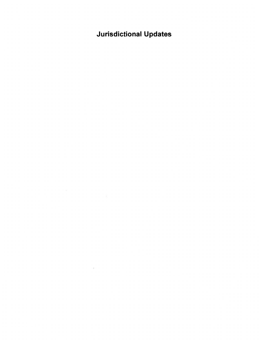# **Jurisdictional Updates**

 $\mathcal{L}^{\text{max}}_{\text{max}}$  and  $\mathcal{L}^{\text{max}}_{\text{max}}$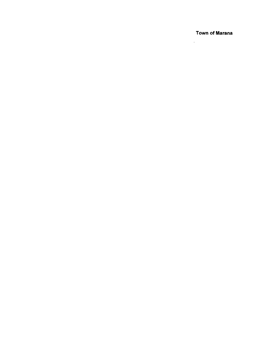**Town of Marana** 

 $\overline{\phantom{a}}$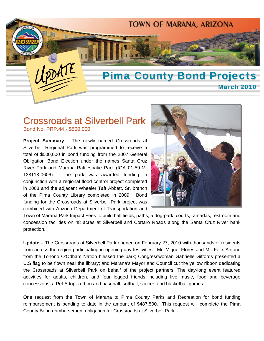

## Crossroads at Silverbell Park Bond No. PRP.44 - \$500,000

**Project Summary** - The newly named Crossroads at Silverbell Regional Park was programmed to receive a total of \$500,000 in bond funding from the 2007 General Obligation Bond Election under the names Santa Cruz River Park and Marana Rattlesnake Park (IGA 01-59-M-138118-0606). The park was awarded funding in conjunction with a regional flood control project completed in 2008 and the adjacent Wheeler Taft Abbett, Sr. branch of the Pima County Library completed in 2009. Bond funding for the Crossroads at Silverbell Park project was combined with Arizona Department of Transportation and



Town of Marana Park Impact Fees to build ball fields, paths, a dog-park, courts, ramadas, restroom and concession facilities on 48 acres at Silverbell and Cortaro Roads along the Santa Cruz River bank protection.

**Update –** The Crossroads at Silverbell Park opened on February 27, 2010 with thousands of residents from across the region participating in opening day festivities. Mr. Miguel Flores and Mr. Felix Antone from the Tohono O'Odham Nation blessed the park; Congresswoman Gabrielle Giffords presented a U.S flag to be flown near the library; and Marana's Mayor and Council cut the yellow ribbon dedicating the Crossroads at Silverbell Park on behalf of the project partners. The day-long event featured activities for adults, children, and four legged friends including live music, food and beverage concessions, a Pet Adopt-a-thon and baseball, softball, soccer, and basketball games.

One request from the Town of Marana to Pima County Parks and Recreation for bond funding reimbursement is pending to date in the amount of \$487,500. This request will complete the Pima County Bond reimbursement obligation for Crossroads at Silverbell Park.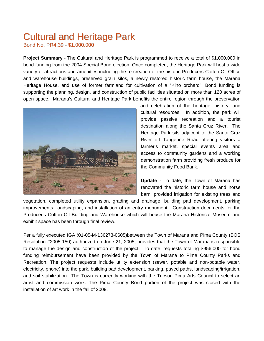# Cultural and Heritage Park

Bond No. PR4.39 - \$1,000,000

**Project Summary** - The Cultural and Heritage Park is programmed to receive a total of \$1,000,000 in bond funding from the 2004 Special Bond election. Once completed, the Heritage Park will host a wide variety of attractions and amenities including the re-creation of the historic Producers Cotton Oil Office and warehouse buildings, preserved grain silos, a newly restored historic farm house, the Marana Heritage House, and use of former farmland for cultivation of a "Kino orchard". Bond funding is supporting the planning, design, and construction of public facilities situated on more than 120 acres of open space. Marana's Cultural and Heritage Park benefits the entire region through the preservation



and celebration of the heritage, history, and cultural resources. In addition, the park will provide passive recreation and a tourist destination along the Santa Cruz River. The Heritage Park sits adjacent to the Santa Cruz River off Tangerine Road offering visitors a farmer's market, special events area and access to community gardens and a working demonstration farm providing fresh produce for the Community Food Bank.

**Update** - To date, the Town of Marana has renovated the historic farm house and horse barn, provided irrigation for existing trees and

vegetation, completed utility expansion, grading and drainage, building pad development, parking improvements, landscaping, and installation of an entry monument. Construction documents for the Producer's Cotton Oil Building and Warehouse which will house the Marana Historical Museum and exhibit space has been through final review.

Per a fully executed IGA (01-05-M-136273-0605)between the Town of Marana and Pima County (BOS Resolution #2005-150) authorized on June 21, 2005, provides that the Town of Marana is responsible to manage the design and construction of the project. To date, requests totaling \$956,000 for bond funding reimbursement have been provided by the Town of Marana to Pima County Parks and Recreation. The project requests include utility extension (sewer, potable and non-potable water, electricity, phone) into the park, building pad development, parking, paved paths, landscaping/irrigation, and soil stabilization. The Town is currently working with the Tucson Pima Arts Council to select an artist and commission work. The Pima County Bond portion of the project was closed with the installation of art work in the fall of 2009.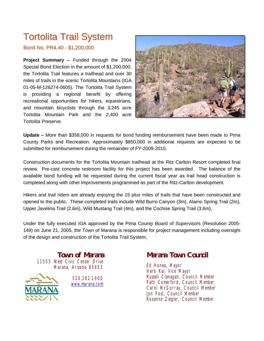# Tortolita Trail System

Bond No. PR4.40 - \$1,200,000

**Project Summary –** Funded through the 2004 Special Bond Election in the amount of \$1,200,000, the Tortolita Trail features a trailhead and over 30 miles of trails in the scenic Tortolita Mountains (IGA 01-05-M-126274-0605). The Tortolita Trail System is providing a regional benefit by offering recreational opportunities for hikers, equestrians, and mountain bicyclists through the 3,245 acre Tortolita Mountain Park and the 2,400 acre Tortolita Preserve.



**Update –** More than \$358,000 in requests for bond funding reimbursement have been made to Pima County Parks and Recreation. Approximately \$850,000 in additional requests are expected to be submitted for reimbursement during the remainder of FY-2009-2010.

Construction documents for the Tortolita Mountain trailhead at the Ritz Carlton Resort completed final review. Pre-cast concrete restroom facility for this project has been awarded. The balance of the available bond funding will be requested during the current fiscal year as trail head construction is completed along with other improvements programmed as part of the Ritz-Carlton development.

Hikers and trail riders are already enjoying the 15 plus miles of trails that have been constructed and opened to the public. These completed trails include Wild Burro Canyon (3m), Alamo Spring Trail (2m), Upper Javelina Trail (2.6m), Wild Mustang Trail (4m), and the Cochise Spring Trail (3.6m).

Under the fully executed IGA approved by the Pima County Board of Supervisors (Resolution 2005- 149) on June 21, 2005, the Town of Marana is responsible for project management including oversight of the design and construction of the Tortolita Trail System.

**Town of Marana**  11555 West Civic Center Drive Marana, Arizona 85653



520.382.1900 www.marana.com

## **Marana Town Council**

Ed Honea, Mayor Herb Kai, Vice Mayor Russell Clanagan, Council Member Patti Comerford, Council Member Carol McGorray, Council Member Jon Post, Council Member Roxanne Ziegler, Council Member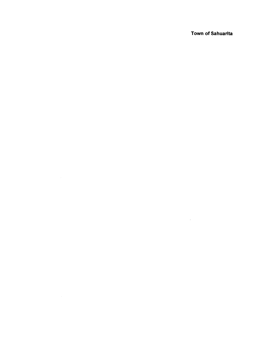**Town of Sahuarita** 

 $\label{eq:2.1} \mathcal{L}(\mathcal{L}^{\mathcal{L}}_{\mathcal{L}}(\mathcal{L}^{\mathcal{L}}_{\mathcal{L}})) = \mathcal{L}(\mathcal{L}^{\mathcal{L}}_{\mathcal{L}}(\mathcal{L}^{\mathcal{L}}_{\mathcal{L}}))$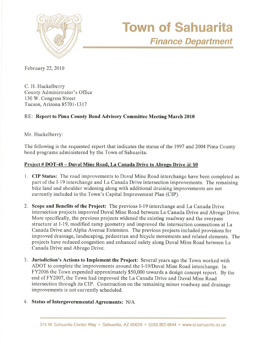

February 22, 2010

C. H. Huckelberry County Administrator's Office 130 W. Congress Street Tucson, Arizona 85701-1317

### RE: Report to Pima County Bond Advisory Committee Meeting March 2010

Mr. Huckelberry:

The following is the requested report that indicates the status of the 1997 and 2004 Pima County bond programs administered by the Town of Sahuarita.

### Project # DOT-48 – Duval Mine Road, La Canada Drive to Abrego Drive @ \$0

- 1. CIP Status: The road improvements to Duval Mine Road interchange have been completed as part of the I-19 interchange and La Canada Drive intersection improvements. The remaining bike land and shoulder widening along with additional draining improvements are not currently included in the Town's Capital Improvement Plan (CIP).
- 2. Scope and Benefits of the Project: The previous I-19 interchange and La Canada Drive intersection projects improved Duval Mine Road between La Canada Drive and Abrego Drive. More specifically, the previous projects widened the existing roadway and the overpass structure at I-19, modified ramp geometry and improved the intersection connections at La Canada Drive and Alpha Avenue Extension. The previous projects included provisions for improved drainage, landscaping, pedestrian and bicycle movements and related elements. The projects have reduced congestion and enhanced safety along Duval Mine Road between La Canada Drive and Abrego Drive.
- 3. Jurisdiction's Actions to Implement the Project: Several years ago the Town worked with ADOT to complete the improvements around the I-19/Duval Mine Road interchange. In FY2006 the Town expended approximately \$50,000 towards a design concept report. By the end of FY2007, the Town had improved the La Canada Drive and Duval Mine Road intersection through its CIP. Construction on the remaining minor roadway and drainage improvements is not currently scheduled.
- 4. Status of Intergovernmental Agreements: N/A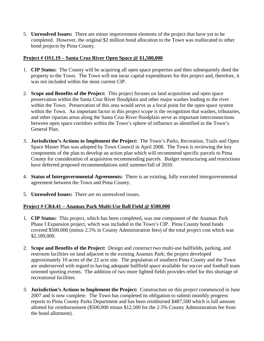5. **Unresolved Issues:** There are minor improvement elements of the project that have yet to be completed. However, the original \$2 million bond allocation to the Town was reallocated to other bond projects by Pima County.

### <sup>U</sup>**Project # OS1.19 – Santa Cruz River Open Space @ \$1,500,000**

- 1. **CIP Status:** The County will be acquiring all open space properties and then subsequently deed the property to the Town. The Town will not incur capital expenditures for this project and, therefore, it was not included within the most current CIP.
- 2. **Scope and Benefits of the Project:** This project focuses on land acquisition and open space preservation within the Santa Cruz River floodplain and other major washes leading to the river within the Town. Preservation of this area would serve as a focal point for the open space system within the Town. An important factor in this project scope is the recognition that washes, tributaries, and other riparian areas along the Santa Cruz River floodplain serve as important interconnections between open space corridors within the Town's sphere of influence as identified in the Town's General Plan.
- 3. **Jurisdiction's Actions to Implement the Project:** The Town's Parks, Recreation, Trails and Open Space Master Plan was adopted by Town Council in April 2008. The Town is reviewing the key components of the plan to develop an action plan which will recommend specific parcels to Pima County for consideration of acquisition recommending parcels. Budget restructuring and restrictions have deferred proposed recommendations until summer/fall of 2010.
- 4. **Status of Intergovernmental Agreements:** There is an existing, fully executed intergovernmental agreement between the Town and Pima County.
- 5. **Unresolved Issues:** There are no unresolved issues.

#### <sup>U</sup>**Project # CR4.41 – Anamax Park Multi-Use Ball Field @ \$500,000**

- 1. **CIP Status:** This project, which has been completed, was one component of the Anamax Park Phase I Expansion project, which was included in the Town's CIP. Pima County bond funds covered \$500,000 (minus 2.5% in County Administration fees) of the total project cost which was \$2,189,000.
- 2. **Scope and Benefits of the Project:** Design and construct two multi-use ballfields, parking, and restroom facilities on land adjacent to the existing Anamax Park; the project developed approximately 10 acres of the 22 acre site. The population of southern Pima County and the Town are underserved with regard to having adequate ballfield space available for soccer and football team oriented sporting events. The addition of two more lighted fields provides relief for this shortage of recreational facilities.
- 3. **Jurisdiction's Actions to Implement the Project:** Construction on this project commenced in June 2007 and is now complete. The Town has completed its obligation to submit monthly progress reports to Pima County Parks Department and has been reimbursed \$487,500 which is full amount allotted for reimbursement (\$500,000 minus \$12,500 for the 2.5% County Administration fee from the bond allotment).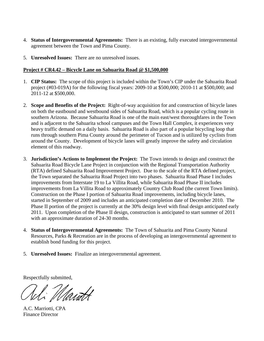- 4. **Status of Intergovernmental Agreements:** There is an existing, fully executed intergovernmental agreement between the Town and Pima County.
- 5. **Unresolved Issues:** There are no unresolved issues.

#### <sup>U</sup>**Project # CR4.42 – Bicycle Lane on Sahuarita Road @ \$1,500,000**

- 1. **CIP Status:** The scope of this project is included within the Town's CIP under the Sahuarita Road project (#03-019A) for the following fiscal years: 2009-10 at \$500,000; 2010-11 at \$500,000; and 2011-12 at \$500,000.
- 2. **Scope and Benefits of the Project:** Right-of-way acquisition for and construction of bicycle lanes on both the eastbound and westbound sides of Sahuarita Road, which is a popular cycling route in southern Arizona. Because Sahuarita Road is one of the main east/west thoroughfares in the Town and is adjacent to the Sahuarita school campuses and the Town Hall Complex, it experiences very heavy traffic demand on a daily basis. Sahuarita Road is also part of a popular bicycling loop that runs through southern Pima County around the perimeter of Tucson and is utilized by cyclists from around the County. Development of bicycle lanes will greatly improve the safety and circulation element of this roadway.
- 3. **Jurisdiction's Actions to Implement the Project:** The Town intends to design and construct the Sahuarita Road Bicycle Lane Project in conjunction with the Regional Transportation Authority (RTA) defined Sahuarita Road Improvement Project. Due to the scale of the RTA defined project, the Town separated the Sahuarita Road Project into two phases. Sahuarita Road Phase I includes improvements from Interstate 19 to La Villita Road, while Sahuarita Road Phase II includes improvements from La Villita Road to approximately Country Club Road (the current Town limits). Construction on the Phase I portion of Sahuarita Road improvements, including bicycle lanes, started in September of 2009 and includes an anticipated completion date of December 2010. The Phase II portion of the project is currently at the 30% design level with final design anticipated early 2011. Upon completion of the Phase II design, construction is anticipated to start summer of 2011 with an approximate duration of 24-30 months.
- 4. **Status of Intergovernmental Agreements:** The Town of Sahuarita and Pima County Natural Resources, Parks & Recreation are in the process of developing an intergovernmental agreement to establish bond funding for this project.
- 5. **Unresolved Issues:** Finalize an intergovernmental agreement.

Respectfully submitted,

Manth

A.C. Marriotti, CPA Finance Director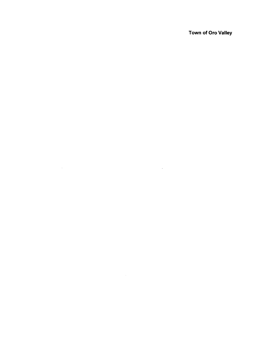Town of Oro Valley

 $\mathcal{L}^{\text{max}}_{\text{max}}$  and  $\mathcal{L}^{\text{max}}_{\text{max}}$ 

 $\label{eq:2.1} \mathcal{L}(\mathcal{L}^{\text{max}}_{\mathcal{L}}(\mathcal{L}^{\text{max}}_{\mathcal{L}})) \leq \mathcal{L}(\mathcal{L}^{\text{max}}_{\mathcal{L}}(\mathcal{L}^{\text{max}}_{\mathcal{L}}))$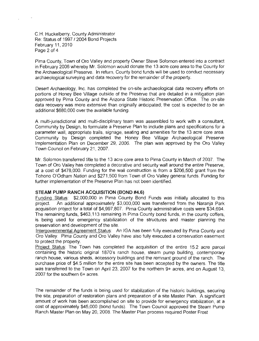C.H. Huckelberry, County Administrator Re: Status of 1997 / 2004 Bond Projects February 11, 2010 Page 2 of 4

Pima County, Town of Oro Valley and property Owner Steve Solomon entered into a contract in February 2006 whereby Mr. Solomon would donate the 13 acre core area to the County for the Archaeological Preserve. In return, County bond funds will be used to conduct necessary archaeological surveying and data recovery for the remainder of the property.

Desert Archaeology, Inc. has completed the on-site archaeological data recovery efforts on portions of Honey Bee Village outside of the Preserve that are detailed in a mitigation plan approved by Pima County and the Arizona State Historic Preservation Office. The on-site data recovery was more extensive than originally anticipated; the cost is expected to be an additional \$680,000 over the available funding.

A multi-jurisdictional and multi-disciplinary team was assembled to work with a consultant, Community by Design, to formulate a Preserve Plan to include plans and specifications for a parameter wall, appropriate trails, signage, seating and amenities for the 13 acre core area. Community by Design completed the Honey Bee Village Archaeological Preserve Implementation Plan on December 29, 2006. The plan was approved by the Oro Valley Town Council on February 21, 2007.

Mr. Solomon transferred title to the 13 acre core area to Pima County in March of 2007. The Town of Oro Valley has completed a decorative and security wall around the entire Preserve, at a cost of \$478,000. Funding for the wall construction is from a \$206,500 grant from the Tohono O'Odham Nation and \$271,500 from Town of Oro Valley general funds. Funding for further implementation of the Preserve Plan has not been identified.

#### STEAM PUMP RANCH ACQUISITION (BOND #4.6)

Funding Status: \$2,000,000 in Pima County Bond Funds was initially allocated to this An additional approximately \$3,000,000 was transferred from the Narania Park project. acquisition project for a total of \$4,997,807. Pima County administrative costs were \$34,694. The remaining funds, \$463,113 remaining in Pima County bond funds, in the county coffers, is being used for emergency stabilization of the structures and master planning the preservation and development of the site.

Intergovernmental Agreement Status: An IGA has been fully executed by Pima County and Oro Valley. Pima County and Oro Valley have also fully executed a conservation easement to protect the property.

Project Status: The Town has completed the acquisition of the entire 15.2 acre parcel containing the historic original 1870's ranch house, steam pump building, contemporary ranch house, various sheds, accessory buildings and the remnant ground of the ranch. The purchase price of \$4.5 million for the entire site has been accepted by the owners. The title was transferred to the Town on April 23, 2007 for the northern 9+ acres, and on August 13, 2007 for the southern 6+ acres.

The remainder of the funds is being used for stabilization of the historic buildings, securing the site, preparation of restoration plans and preparation of a site Master Plan. A significant amount of work has been accomplished on site to provide for emergency stabilization, at a cost of approximately \$45,000 (bond funds). The Town Council approved the Steam Pump Ranch Master Plan on May 20, 2008. The Master Plan process required Poster Frost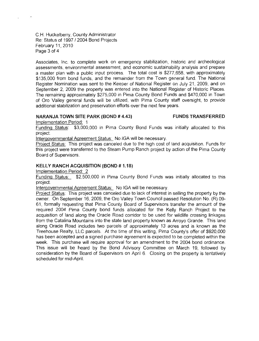C.H. Huckelberry, County Administrator Re: Status of 1997 / 2004 Bond Projects February 11, 2010 Page 3 of 4

Associates, Inc. to complete work on emergency stabilization, historic and archeological assessments, environmental assessment, and economic sustainability analysis and prepare a master plan with a public input process. The total cost is \$277,658, with approximately \$135,000 from bond funds, and the remainder from the Town general fund. The National Register Nomination was sent to the Keeper of National Register on July 21, 2009, and on September 2, 2009 the property was entered into the National Register of Historic Places. The remaining approximately \$275,000 in Pima County Bond Funds and \$470,000 in Town of Oro Valley general funds will be utilized, with Pima County staff oversight, to provide additional stabilization and preservation efforts over the next few years.

#### **NARANJA TOWN SITE PARK (BOND # 4.43)**

**FUNDS TRANSFERRED** 

Implementation Period: 1

Funding Status: \$3,000,000 in Pima County Bond Funds was initially allocated to this project.

Intergovernmental Agreement Status: No IGA will be necessary.

Project Status: This project was canceled due to the high cost of land acquisition. Funds for this project were transferred to the Steam Pump Ranch project by action of the Pima County Board of Supervisors.

#### **KELLY RANCH ACQUISITION (BOND #1.18)**

Implementation Period: 2

Funding Status: \$2,500,000 in Pima County Bond Funds was initially allocated to this project.

Intergovernmental Agreement Status: No IGA will be necessary.

Project Status: This project was canceled due to lack of interest in selling the property by the owner. On September 16, 2009, the Oro Valley Town Council passed Resolution No. (R) 09-61. formally requesting that Pima County Board of Supervisors transfer the amount of the required 2004 Pima County bond funds allocated for the Kelly Ranch Project to the acquisition of land along the Oracle Road corridor to be used for wildlife crossing linkages from the Catalina Mountains into the state land property known as Arroyo Grande. This land along Oracle Road includes two parcels of approximately 13 acres and is known as the Treehouse Realty, LLC parcels. At the time of this writing, Pima County's offer of \$920,000 has been accepted and a signed purchase agreement is expected to be completed within the week. This purchase will require approval for an amendment to the 2004 bond ordinance. This issue will be heard by the Bond Advisory Committee on March 19, followed by consideration by the Board of Supervisors on April 6. Closing on the property is tentatively scheduled for mid-April.